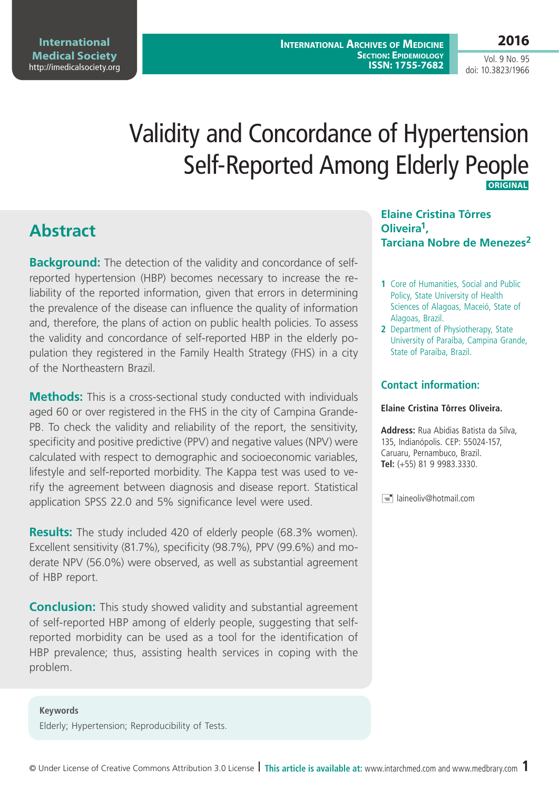**2016**

Vol. 9 No. 95 doi: 10.3823/1966

# Validity and Concordance of Hypertension Self-Reported Among Elderly People  **Original**

## **Abstract**

**Background:** The detection of the validity and concordance of selfreported hypertension (HBP) becomes necessary to increase the reliability of the reported information, given that errors in determining the prevalence of the disease can influence the quality of information and, therefore, the plans of action on public health policies. To assess the validity and concordance of self-reported HBP in the elderly population they registered in the Family Health Strategy (FHS) in a city of the Northeastern Brazil.

**Methods:** This is a cross-sectional study conducted with individuals aged 60 or over registered in the FHS in the city of Campina Grande-PB. To check the validity and reliability of the report, the sensitivity, specificity and positive predictive (PPV) and negative values (NPV) were calculated with respect to demographic and socioeconomic variables, lifestyle and self-reported morbidity. The Kappa test was used to verify the agreement between diagnosis and disease report. Statistical application SPSS 22.0 and 5% significance level were used.

**Results:** The study included 420 of elderly people (68.3% women). Excellent sensitivity (81.7%), specificity (98.7%), PPV (99.6%) and moderate NPV (56.0%) were observed, as well as substantial agreement of HBP report.

**Conclusion:** This study showed validity and substantial agreement of self-reported HBP among of elderly people, suggesting that selfreported morbidity can be used as a tool for the identification of HBP prevalence; thus, assisting health services in coping with the problem.

**Keywords** Elderly; Hypertension; Reproducibility of Tests.

**Elaine Cristina Tôrres Oliveira1, Tarciana Nobre de Menezes<sup>2</sup>**

- **1** Core of Humanities, Social and Public Policy, State University of Health Sciences of Alagoas, Maceió, State of Alagoas, Brazil.
- **2** Department of Physiotherapy, State University of Paraíba, Campina Grande, State of Paraíba, Brazil.

### **Contact information:**

#### **Elaine Cristina Tôrres Oliveira.**

**Address:** Rua Abidias Batista da Silva, 135, Indianópolis. CEP: 55024-157, Caruaru, Pernambuco, Brazil. **Tel:** (+55) 81 9 9983.3330.

 $\equiv$  laineoliv@hotmail.com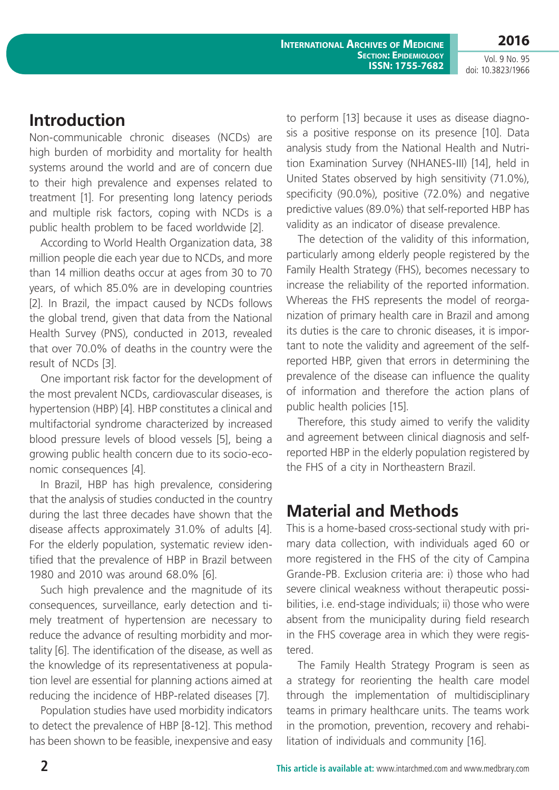**2016** Vol. 9 No. 95

doi: 10.3823/1966

## **Introduction**

Non-communicable chronic diseases (NCDs) are high burden of morbidity and mortality for health systems around the world and are of concern due to their high prevalence and expenses related to treatment [1]. For presenting long latency periods and multiple risk factors, coping with NCDs is a public health problem to be faced worldwide [2].

According to World Health Organization data, 38 million people die each year due to NCDs, and more than 14 million deaths occur at ages from 30 to 70 years, of which 85.0% are in developing countries [2]. In Brazil, the impact caused by NCDs follows the global trend, given that data from the National Health Survey (PNS), conducted in 2013, revealed that over 70.0% of deaths in the country were the result of NCDs [3].

One important risk factor for the development of the most prevalent NCDs, cardiovascular diseases, is hypertension (HBP) [4]. HBP constitutes a clinical and multifactorial syndrome characterized by increased blood pressure levels of blood vessels [5], being a growing public health concern due to its socio-economic consequences [4].

In Brazil, HBP has high prevalence, considering that the analysis of studies conducted in the country during the last three decades have shown that the disease affects approximately 31.0% of adults [4]. For the elderly population, systematic review identified that the prevalence of HBP in Brazil between 1980 and 2010 was around 68.0% [6].

Such high prevalence and the magnitude of its consequences, surveillance, early detection and timely treatment of hypertension are necessary to reduce the advance of resulting morbidity and mortality [6]. The identification of the disease, as well as the knowledge of its representativeness at population level are essential for planning actions aimed at reducing the incidence of HBP-related diseases [7].

Population studies have used morbidity indicators to detect the prevalence of HBP [8-12]. This method has been shown to be feasible, inexpensive and easy to perform [13] because it uses as disease diagnosis a positive response on its presence [10]. Data analysis study from the National Health and Nutrition Examination Survey (NHANES-III) [14], held in United States observed by high sensitivity (71.0%), specificity (90.0%), positive (72.0%) and negative predictive values (89.0%) that self-reported HBP has validity as an indicator of disease prevalence.

The detection of the validity of this information, particularly among elderly people registered by the Family Health Strategy (FHS), becomes necessary to increase the reliability of the reported information. Whereas the FHS represents the model of reorganization of primary health care in Brazil and among its duties is the care to chronic diseases, it is important to note the validity and agreement of the selfreported HBP, given that errors in determining the prevalence of the disease can influence the quality of information and therefore the action plans of public health policies [15].

Therefore, this study aimed to verify the validity and agreement between clinical diagnosis and selfreported HBP in the elderly population registered by the FHS of a city in Northeastern Brazil.

## **Material and Methods**

This is a home-based cross-sectional study with primary data collection, with individuals aged 60 or more registered in the FHS of the city of Campina Grande-PB. Exclusion criteria are: i) those who had severe clinical weakness without therapeutic possibilities, i.e. end-stage individuals; ii) those who were absent from the municipality during field research in the FHS coverage area in which they were registered.

The Family Health Strategy Program is seen as a strategy for reorienting the health care model through the implementation of multidisciplinary teams in primary healthcare units. The teams work in the promotion, prevention, recovery and rehabilitation of individuals and community [16].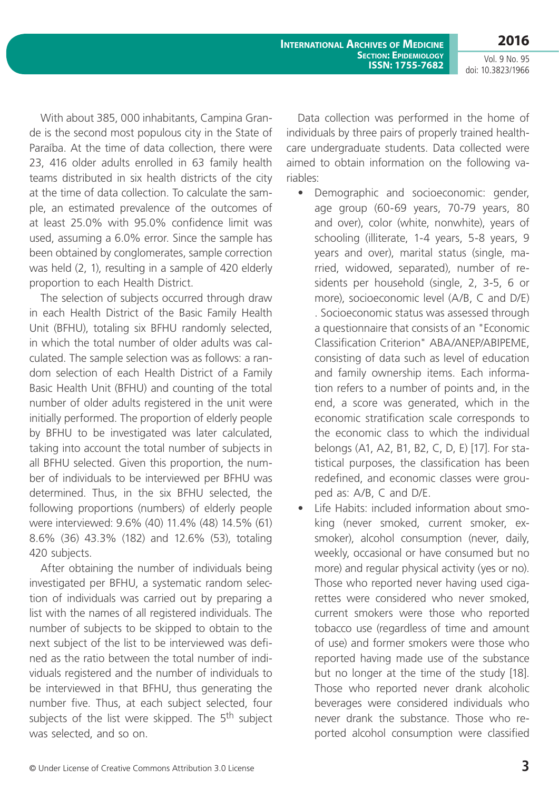**2016**

Vol. 9 No. 95 doi: 10.3823/1966

With about 385, 000 inhabitants, Campina Grande is the second most populous city in the State of Paraíba. At the time of data collection, there were 23, 416 older adults enrolled in 63 family health teams distributed in six health districts of the city at the time of data collection. To calculate the sample, an estimated prevalence of the outcomes of at least 25.0% with 95.0% confidence limit was used, assuming a 6.0% error. Since the sample has been obtained by conglomerates, sample correction was held (2, 1), resulting in a sample of 420 elderly proportion to each Health District.

The selection of subjects occurred through draw in each Health District of the Basic Family Health Unit (BFHU), totaling six BFHU randomly selected, in which the total number of older adults was calculated. The sample selection was as follows: a random selection of each Health District of a Family Basic Health Unit (BFHU) and counting of the total number of older adults registered in the unit were initially performed. The proportion of elderly people by BFHU to be investigated was later calculated, taking into account the total number of subjects in all BFHU selected. Given this proportion, the number of individuals to be interviewed per BFHU was determined. Thus, in the six BFHU selected, the following proportions (numbers) of elderly people were interviewed: 9.6% (40) 11.4% (48) 14.5% (61) 8.6% (36) 43.3% (182) and 12.6% (53), totaling 420 subjects.

After obtaining the number of individuals being investigated per BFHU, a systematic random selection of individuals was carried out by preparing a list with the names of all registered individuals. The number of subjects to be skipped to obtain to the next subject of the list to be interviewed was defined as the ratio between the total number of individuals registered and the number of individuals to be interviewed in that BFHU, thus generating the number five. Thus, at each subject selected, four subjects of the list were skipped. The 5<sup>th</sup> subject was selected, and so on.

Data collection was performed in the home of individuals by three pairs of properly trained healthcare undergraduate students. Data collected were aimed to obtain information on the following variables:

- • Demographic and socioeconomic: gender, age group (60-69 years, 70-79 years, 80 and over), color (white, nonwhite), years of schooling (illiterate, 1-4 years, 5-8 years, 9 years and over), marital status (single, married, widowed, separated), number of residents per household (single, 2, 3-5, 6 or more), socioeconomic level (A/B, C and D/E) . Socioeconomic status was assessed through a questionnaire that consists of an "Economic Classification Criterion" ABA/ANEP/ABIPEME, consisting of data such as level of education and family ownership items. Each information refers to a number of points and, in the end, a score was generated, which in the economic stratification scale corresponds to the economic class to which the individual belongs (A1, A2, B1, B2, C, D, E) [17]. For statistical purposes, the classification has been redefined, and economic classes were grouped as: A/B, C and D/E.
- Life Habits: included information about smoking (never smoked, current smoker, exsmoker), alcohol consumption (never, daily, weekly, occasional or have consumed but no more) and regular physical activity (yes or no). Those who reported never having used cigarettes were considered who never smoked, current smokers were those who reported tobacco use (regardless of time and amount of use) and former smokers were those who reported having made use of the substance but no longer at the time of the study [18]. Those who reported never drank alcoholic beverages were considered individuals who never drank the substance. Those who reported alcohol consumption were classified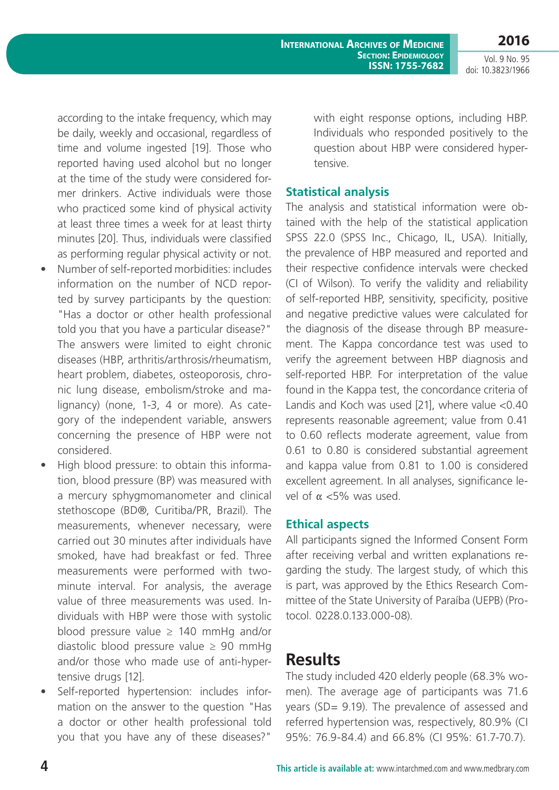**2016**

Vol. 9 No. 95 doi: 10.3823/1966

according to the intake frequency, which may be daily, weekly and occasional, regardless of time and volume ingested [19]. Those who reported having used alcohol but no longer at the time of the study were considered former drinkers. Active individuals were those who practiced some kind of physical activity at least three times a week for at least thirty minutes [20]. Thus, individuals were classified as performing regular physical activity or not.

- • Number of self-reported morbidities: includes information on the number of NCD reported by survey participants by the question: "Has a doctor or other health professional told you that you have a particular disease?" The answers were limited to eight chronic diseases (HBP, arthritis/arthrosis/rheumatism, heart problem, diabetes, osteoporosis, chronic lung disease, embolism/stroke and malignancy) (none, 1-3, 4 or more). As category of the independent variable, answers concerning the presence of HBP were not considered.
- High blood pressure: to obtain this information, blood pressure (BP) was measured with a mercury sphygmomanometer and clinical stethoscope (BD®, Curitiba/PR, Brazil). The measurements, whenever necessary, were carried out 30 minutes after individuals have smoked, have had breakfast or fed. Three measurements were performed with twominute interval. For analysis, the average value of three measurements was used. Individuals with HBP were those with systolic blood pressure value ≥ 140 mmHg and/or diastolic blood pressure value  $\geq 90$  mmHg and/or those who made use of anti-hypertensive drugs [12].
- • Self-reported hypertension: includes information on the answer to the question "Has a doctor or other health professional told you that you have any of these diseases?"

with eight response options, including HBP. Individuals who responded positively to the question about HBP were considered hypertensive.

### **Statistical analysis**

The analysis and statistical information were obtained with the help of the statistical application SPSS 22.0 (SPSS Inc., Chicago, IL, USA). Initially, the prevalence of HBP measured and reported and their respective confidence intervals were checked (CI of Wilson). To verify the validity and reliability of self-reported HBP, sensitivity, specificity, positive and negative predictive values were calculated for the diagnosis of the disease through BP measurement. The Kappa concordance test was used to verify the agreement between HBP diagnosis and self-reported HBP. For interpretation of the value found in the Kappa test, the concordance criteria of Landis and Koch was used [21], where value <0.40 represents reasonable agreement; value from 0.41 to 0.60 reflects moderate agreement, value from 0.61 to 0.80 is considered substantial agreement and kappa value from 0.81 to 1.00 is considered excellent agreement. In all analyses, significance level of  $\alpha$  <5% was used.

#### **Ethical aspects**

All participants signed the Informed Consent Form after receiving verbal and written explanations regarding the study. The largest study, of which this is part, was approved by the Ethics Research Committee of the State University of Paraíba (UEPB) (Protocol. 0228.0.133.000-08).

### **Results**

The study included 420 elderly people (68.3% women). The average age of participants was 71.6 years (SD= 9.19). The prevalence of assessed and referred hypertension was, respectively, 80.9% (CI 95%: 76.9-84.4) and 66.8% (CI 95%: 61.7-70.7).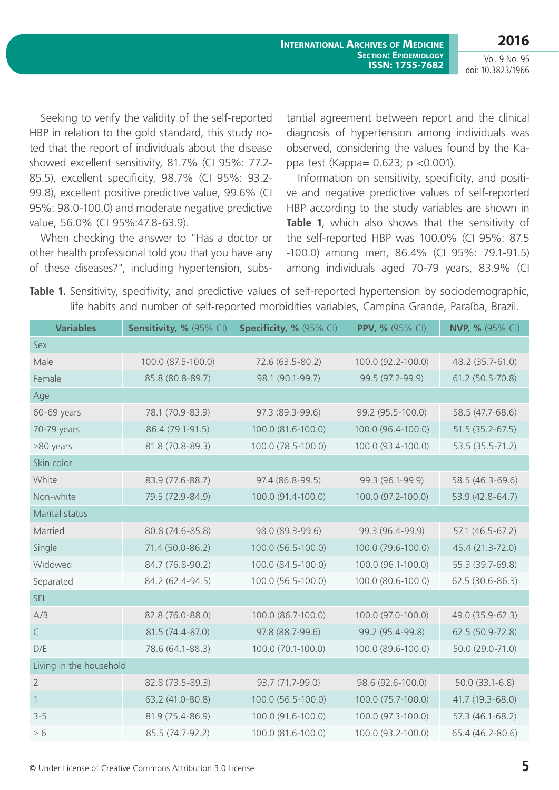Vol. 9 No. 95 doi: 10.3823/1966

Seeking to verify the validity of the self-reported HBP in relation to the gold standard, this study noted that the report of individuals about the disease showed excellent sensitivity, 81.7% (CI 95%: 77.2- 85.5), excellent specificity, 98.7% (CI 95%: 93.2- 99.8), excellent positive predictive value, 99.6% (CI 95%: 98.0-100.0) and moderate negative predictive value, 56.0% (CI 95%:47.8-63.9).

When checking the answer to "Has a doctor or other health professional told you that you have any of these diseases?", including hypertension, substantial agreement between report and the clinical diagnosis of hypertension among individuals was observed, considering the values found by the Kappa test (Kappa= 0.623; p <0.001).

Information on sensitivity, specificity, and positive and negative predictive values of self-reported HBP according to the study variables are shown in **Table 1**, which also shows that the sensitivity of the self-reported HBP was 100.0% (CI 95%: 87.5 -100.0) among men, 86.4% (CI 95%: 79.1-91.5) among individuals aged 70-79 years, 83.9% (CI

**Table 1.** Sensitivity, specifivity, and predictive values of self-reported hypertension by sociodemographic, life habits and number of self-reported morbidities variables, Campina Grande, Paraíba, Brazil.

| <b>Variables</b>        | Sensitivity, % (95% CI) | Specificity, % (95% CI) | <b>PPV, % (95% CI)</b> | <b>NVP, %</b> (95% CI) |  |  |
|-------------------------|-------------------------|-------------------------|------------------------|------------------------|--|--|
| Sex                     |                         |                         |                        |                        |  |  |
| Male                    | 100.0 (87.5-100.0)      | 72.6 (63.5-80.2)        | 100.0 (92.2-100.0)     | 48.2 (35.7-61.0)       |  |  |
| Female                  | 85.8 (80.8-89.7)        | 98.1 (90.1-99.7)        | 99.5 (97.2-99.9)       | 61.2 (50.5-70.8)       |  |  |
| Age                     |                         |                         |                        |                        |  |  |
| 60-69 years             | 78.1 (70.9-83.9)        | 97.3 (89.3-99.6)        | 99.2 (95.5-100.0)      | 58.5 (47.7-68.6)       |  |  |
| 70-79 years             | 86.4 (79.1-91.5)        | 100.0 (81.6-100.0)      | 100.0 (96.4-100.0)     | $51.5(35.2-67.5)$      |  |  |
| $\geq$ 80 years         | 81.8 (70.8-89.3)        | 100.0 (78.5-100.0)      | 100.0 (93.4-100.0)     | $53.5(35.5-71.2)$      |  |  |
| Skin color              |                         |                         |                        |                        |  |  |
| White                   | 83.9 (77.6-88.7)        | 97.4 (86.8-99.5)        | 99.3 (96.1-99.9)       | 58.5 (46.3-69.6)       |  |  |
| Non-white               | 79.5 (72.9-84.9)        | 100.0 (91.4-100.0)      | 100.0 (97.2-100.0)     | 53.9 (42.8-64.7)       |  |  |
| Marital status          |                         |                         |                        |                        |  |  |
| Married                 | 80.8 (74.6-85.8)        | 98.0 (89.3-99.6)        | 99.3 (96.4-99.9)       | 57.1 (46.5-67.2)       |  |  |
| Single                  | 71.4 (50.0-86.2)        | 100.0 (56.5-100.0)      | 100.0 (79.6-100.0)     | 45.4 (21.3-72.0)       |  |  |
| Widowed                 | 84.7 (76.8-90.2)        | 100.0 (84.5-100.0)      | 100.0 (96.1-100.0)     | 55.3 (39.7-69.8)       |  |  |
| Separated               | 84.2 (62.4-94.5)        | 100.0 (56.5-100.0)      | 100.0 (80.6-100.0)     | 62.5 (30.6-86.3)       |  |  |
| <b>SEL</b>              |                         |                         |                        |                        |  |  |
| A/B                     | 82.8 (76.0-88.0)        | 100.0 (86.7-100.0)      | 100.0 (97.0-100.0)     | 49.0 (35.9-62.3)       |  |  |
| $\subset$               | 81.5 (74.4-87.0)        | 97.8 (88.7-99.6)        | 99.2 (95.4-99.8)       | 62.5 (50.9-72.8)       |  |  |
| D/E                     | 78.6 (64.1-88.3)        | 100.0 (70.1-100.0)      | 100.0 (89.6-100.0)     | 50.0 (29.0-71.0)       |  |  |
| Living in the household |                         |                         |                        |                        |  |  |
| $\overline{2}$          | 82.8 (73.5-89.3)        | 93.7 (71.7-99.0)        | 98.6 (92.6-100.0)      | $50.0(33.1-6.8)$       |  |  |
| 1                       | 63.2 (41.0-80.8)        | 100.0 (56.5-100.0)      | 100.0 (75.7-100.0)     | 41.7 (19.3-68.0)       |  |  |
| $3 - 5$                 | 81.9 (75.4-86.9)        | 100.0 (91.6-100.0)      | 100.0 (97.3-100.0)     | 57.3 (46.1-68.2)       |  |  |
| $\geq 6$                | 85.5 (74.7-92.2)        | 100.0 (81.6-100.0)      | 100.0 (93.2-100.0)     | 65.4 (46.2-80.6)       |  |  |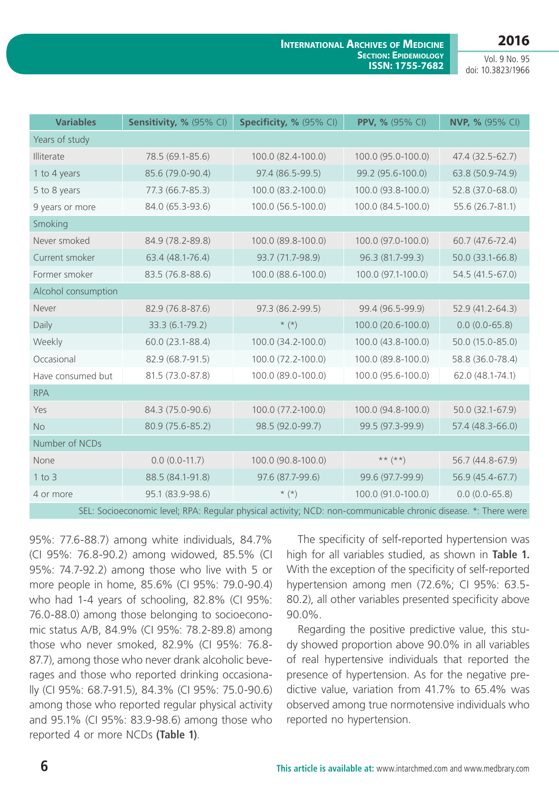### **2016**

**International Archives of Medicine Section: Epidemiology ISSN: 1755-7682**

Vol. 9 No. 95 doi: 10.3823/1966

| <b>Variables</b>                                                                                               | Sensitivity, % (95% CI) | Specificity, % (95% CI) | PPV, % (95% CI)    | <b>NVP, %</b> (95% CI) |  |  |
|----------------------------------------------------------------------------------------------------------------|-------------------------|-------------------------|--------------------|------------------------|--|--|
| Years of study                                                                                                 |                         |                         |                    |                        |  |  |
| Illiterate                                                                                                     | 78.5 (69.1-85.6)        | 100.0 (82.4-100.0)      | 100.0 (95.0-100.0) | 47.4 (32.5-62.7)       |  |  |
| 1 to 4 years                                                                                                   | 85.6 (79.0-90.4)        | 97.4 (86.5-99.5)        | 99.2 (95.6-100.0)  | 63.8 (50.9-74.9)       |  |  |
| 5 to 8 years                                                                                                   | 77.3 (66.7-85.3)        | 100.0 (83.2-100.0)      | 100.0 (93.8-100.0) | 52.8 (37.0-68.0)       |  |  |
| 9 years or more                                                                                                | 84.0 (65.3-93.6)        | 100.0 (56.5-100.0)      | 100.0 (84.5-100.0) | 55.6 (26.7-81.1)       |  |  |
| Smoking                                                                                                        |                         |                         |                    |                        |  |  |
| Never smoked                                                                                                   | 84.9 (78.2-89.8)        | 100.0 (89.8-100.0)      | 100.0 (97.0-100.0) | 60.7 (47.6-72.4)       |  |  |
| Current smoker                                                                                                 | 63.4 (48.1-76.4)        | 93.7 (71.7-98.9)        | 96.3 (81.7-99.3)   | 50.0 (33.1-66.8)       |  |  |
| Former smoker                                                                                                  | 83.5 (76.8-88.6)        | 100.0 (88.6-100.0)      | 100.0 (97.1-100.0) | 54.5 (41.5-67.0)       |  |  |
| Alcohol consumption                                                                                            |                         |                         |                    |                        |  |  |
| Never                                                                                                          | 82.9 (76.8-87.6)        | 97.3 (86.2-99.5)        | 99.4 (96.5-99.9)   | 52.9 (41.2-64.3)       |  |  |
| Daily                                                                                                          | 33.3 (6.1-79.2)         | $\star$ (*)             | 100.0 (20.6-100.0) | $0.0(0.0-65.8)$        |  |  |
| Weekly                                                                                                         | 60.0 (23.1-88.4)        | 100.0 (34.2-100.0)      | 100.0 (43.8-100.0) | 50.0 (15.0-85.0)       |  |  |
| Occasional                                                                                                     | 82.9 (68.7-91.5)        | 100.0 (72.2-100.0)      | 100.0 (89.8-100.0) | 58.8 (36.0-78.4)       |  |  |
| Have consumed but                                                                                              | 81.5 (73.0-87.8)        | 100.0 (89.0-100.0)      | 100.0 (95.6-100.0) | 62.0 (48.1-74.1)       |  |  |
| <b>RPA</b>                                                                                                     |                         |                         |                    |                        |  |  |
| Yes                                                                                                            | 84.3 (75.0-90.6)        | 100.0 (77.2-100.0)      | 100.0 (94.8-100.0) | 50.0 (32.1-67.9)       |  |  |
| <b>No</b>                                                                                                      | 80.9 (75.6-85.2)        | 98.5 (92.0-99.7)        | 99.5 (97.3-99.9)   | 57.4 (48.3-66.0)       |  |  |
| Number of NCDs                                                                                                 |                         |                         |                    |                        |  |  |
| None                                                                                                           | $0.0 (0.0 - 11.7)$      | 100.0 (90.8-100.0)      | $***$ $(**)$       | 56.7 (44.8-67.9)       |  |  |
| $1$ to $3$                                                                                                     | 88.5 (84.1-91.8)        | 97.6 (87.7-99.6)        | 99.6 (97.7-99.9)   | 56.9 (45.4-67.7)       |  |  |
| 4 or more                                                                                                      | 95.1 (83.9-98.6)        | $*$ $(*)$               | 100.0 (91.0-100.0) | $0.0(0.0-65.8)$        |  |  |
| SEL: Socioeconomic level; RPA: Regular physical activity; NCD: non-communicable chronic disease. *: There were |                         |                         |                    |                        |  |  |

95%: 77.6-88.7) among white individuals, 84.7% (CI 95%: 76.8-90.2) among widowed, 85.5% (CI 95%: 74.7-92.2) among those who live with 5 or more people in home, 85.6% (CI 95%: 79.0-90.4) who had 1-4 years of schooling, 82.8% (CI 95%: 76.0-88.0) among those belonging to socioeconomic status A/B, 84.9% (CI 95%: 78.2-89.8) among those who never smoked, 82.9% (CI 95%: 76.8- 87.7), among those who never drank alcoholic beverages and those who reported drinking occasionally (CI 95%: 68.7-91.5), 84.3% (CI 95%: 75.0-90.6) among those who reported regular physical activity and 95.1% (CI 95%: 83.9-98.6) among those who reported 4 or more NCDs **(Table 1)**.

The specificity of self-reported hypertension was high for all variables studied, as shown in **Table 1.** With the exception of the specificity of self-reported hypertension among men (72.6%; CI 95%: 63.5- 80.2), all other variables presented specificity above 90.0%.

Regarding the positive predictive value, this study showed proportion above 90.0% in all variables of real hypertensive individuals that reported the presence of hypertension. As for the negative predictive value, variation from 41.7% to 65.4% was observed among true normotensive individuals who reported no hypertension.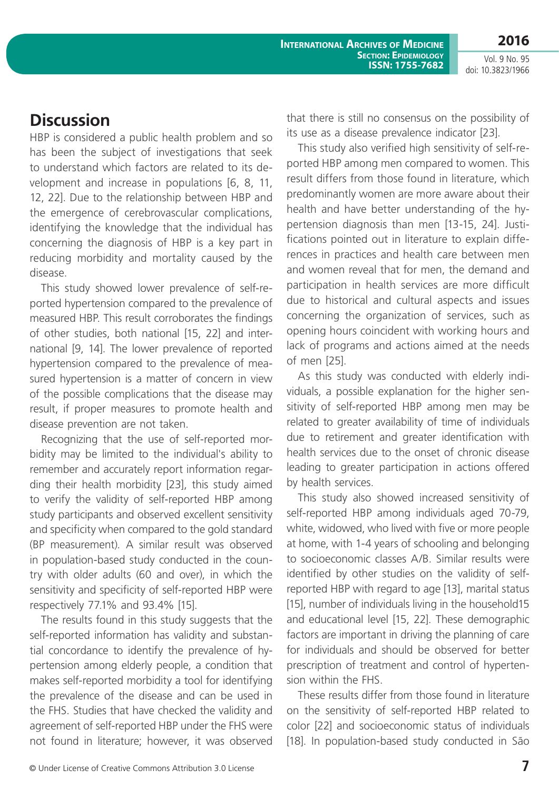Vol. 9 No. 95 doi: 10.3823/1966

**2016**

## **Discussion**

HBP is considered a public health problem and so has been the subject of investigations that seek to understand which factors are related to its development and increase in populations [6, 8, 11, 12, 22]. Due to the relationship between HBP and the emergence of cerebrovascular complications, identifying the knowledge that the individual has concerning the diagnosis of HBP is a key part in reducing morbidity and mortality caused by the disease.

This study showed lower prevalence of self-reported hypertension compared to the prevalence of measured HBP. This result corroborates the findings of other studies, both national [15, 22] and international [9, 14]. The lower prevalence of reported hypertension compared to the prevalence of measured hypertension is a matter of concern in view of the possible complications that the disease may result, if proper measures to promote health and disease prevention are not taken.

Recognizing that the use of self-reported morbidity may be limited to the individual's ability to remember and accurately report information regarding their health morbidity [23], this study aimed to verify the validity of self-reported HBP among study participants and observed excellent sensitivity and specificity when compared to the gold standard (BP measurement). A similar result was observed in population-based study conducted in the country with older adults (60 and over), in which the sensitivity and specificity of self-reported HBP were respectively 77.1% and 93.4% [15].

The results found in this study suggests that the self-reported information has validity and substantial concordance to identify the prevalence of hypertension among elderly people, a condition that makes self-reported morbidity a tool for identifying the prevalence of the disease and can be used in the FHS. Studies that have checked the validity and agreement of self-reported HBP under the FHS were not found in literature; however, it was observed that there is still no consensus on the possibility of its use as a disease prevalence indicator [23].

This study also verified high sensitivity of self-reported HBP among men compared to women. This result differs from those found in literature, which predominantly women are more aware about their health and have better understanding of the hypertension diagnosis than men [13-15, 24]. Justifications pointed out in literature to explain differences in practices and health care between men and women reveal that for men, the demand and participation in health services are more difficult due to historical and cultural aspects and issues concerning the organization of services, such as opening hours coincident with working hours and lack of programs and actions aimed at the needs of men [25].

As this study was conducted with elderly individuals, a possible explanation for the higher sensitivity of self-reported HBP among men may be related to greater availability of time of individuals due to retirement and greater identification with health services due to the onset of chronic disease leading to greater participation in actions offered by health services.

This study also showed increased sensitivity of self-reported HBP among individuals aged 70-79, white, widowed, who lived with five or more people at home, with 1-4 years of schooling and belonging to socioeconomic classes A/B. Similar results were identified by other studies on the validity of selfreported HBP with regard to age [13], marital status [15], number of individuals living in the household15 and educational level [15, 22]. These demographic factors are important in driving the planning of care for individuals and should be observed for better prescription of treatment and control of hypertension within the FHS.

These results differ from those found in literature on the sensitivity of self-reported HBP related to color [22] and socioeconomic status of individuals [18]. In population-based study conducted in São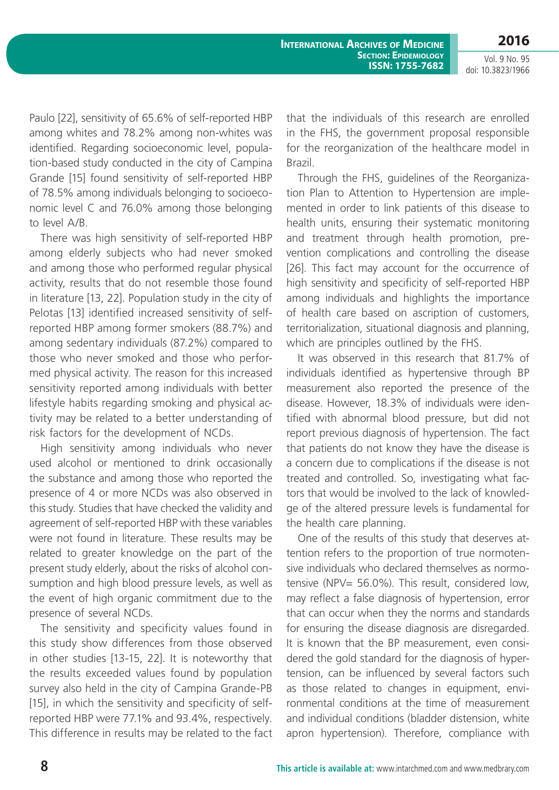**2016**

Vol. 9 No. 95 doi: 10.3823/1966

Paulo [22], sensitivity of 65.6% of self-reported HBP among whites and 78.2% among non-whites was identified. Regarding socioeconomic level, population-based study conducted in the city of Campina Grande [15] found sensitivity of self-reported HBP of 78.5% among individuals belonging to socioeconomic level C and 76.0% among those belonging to level A/B.

There was high sensitivity of self-reported HBP among elderly subjects who had never smoked and among those who performed regular physical activity, results that do not resemble those found in literature [13, 22]. Population study in the city of Pelotas [13] identified increased sensitivity of selfreported HBP among former smokers (88.7%) and among sedentary individuals (87.2%) compared to those who never smoked and those who performed physical activity. The reason for this increased sensitivity reported among individuals with better lifestyle habits regarding smoking and physical activity may be related to a better understanding of risk factors for the development of NCDs.

High sensitivity among individuals who never used alcohol or mentioned to drink occasionally the substance and among those who reported the presence of 4 or more NCDs was also observed in this study. Studies that have checked the validity and agreement of self-reported HBP with these variables were not found in literature. These results may be related to greater knowledge on the part of the present study elderly, about the risks of alcohol consumption and high blood pressure levels, as well as the event of high organic commitment due to the presence of several NCDs.

The sensitivity and specificity values found in this study show differences from those observed in other studies [13-15, 22]. It is noteworthy that the results exceeded values found by population survey also held in the city of Campina Grande-PB [15], in which the sensitivity and specificity of selfreported HBP were 77.1% and 93.4%, respectively. This difference in results may be related to the fact that the individuals of this research are enrolled in the FHS, the government proposal responsible for the reorganization of the healthcare model in Brazil.

Through the FHS, guidelines of the Reorganization Plan to Attention to Hypertension are implemented in order to link patients of this disease to health units, ensuring their systematic monitoring and treatment through health promotion, prevention complications and controlling the disease [26]. This fact may account for the occurrence of high sensitivity and specificity of self-reported HBP among individuals and highlights the importance of health care based on ascription of customers, territorialization, situational diagnosis and planning, which are principles outlined by the FHS.

It was observed in this research that 81.7% of individuals identified as hypertensive through BP measurement also reported the presence of the disease. However, 18.3% of individuals were identified with abnormal blood pressure, but did not report previous diagnosis of hypertension. The fact that patients do not know they have the disease is a concern due to complications if the disease is not treated and controlled. So, investigating what factors that would be involved to the lack of knowledge of the altered pressure levels is fundamental for the health care planning.

One of the results of this study that deserves attention refers to the proportion of true normotensive individuals who declared themselves as normotensive (NPV= 56.0%). This result, considered low, may reflect a false diagnosis of hypertension, error that can occur when they the norms and standards for ensuring the disease diagnosis are disregarded. It is known that the BP measurement, even considered the gold standard for the diagnosis of hypertension, can be influenced by several factors such as those related to changes in equipment, environmental conditions at the time of measurement and individual conditions (bladder distension, white apron hypertension). Therefore, compliance with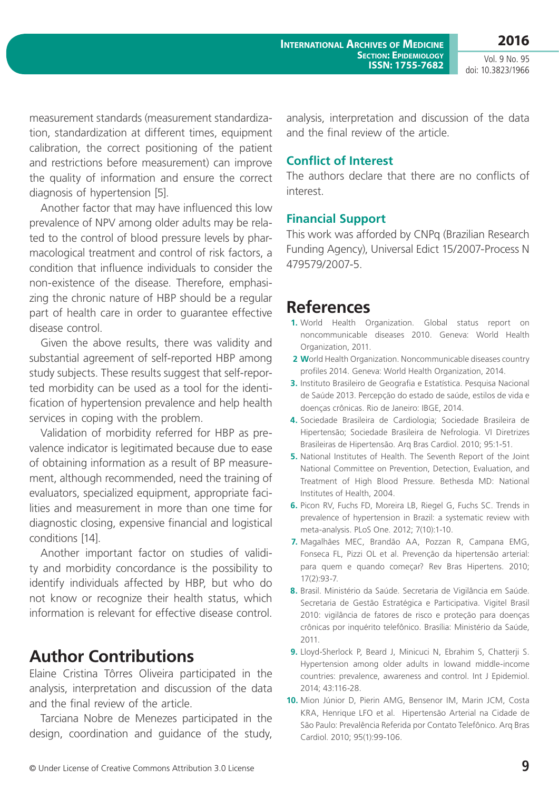**2016**

Vol. 9 No. 95 doi: 10.3823/1966

measurement standards (measurement standardization, standardization at different times, equipment calibration, the correct positioning of the patient and restrictions before measurement) can improve the quality of information and ensure the correct diagnosis of hypertension [5].

Another factor that may have influenced this low prevalence of NPV among older adults may be related to the control of blood pressure levels by pharmacological treatment and control of risk factors, a condition that influence individuals to consider the non-existence of the disease. Therefore, emphasizing the chronic nature of HBP should be a regular part of health care in order to guarantee effective disease control.

Given the above results, there was validity and substantial agreement of self-reported HBP among study subjects. These results suggest that self-reported morbidity can be used as a tool for the identification of hypertension prevalence and help health services in coping with the problem.

Validation of morbidity referred for HBP as prevalence indicator is legitimated because due to ease of obtaining information as a result of BP measurement, although recommended, need the training of evaluators, specialized equipment, appropriate facilities and measurement in more than one time for diagnostic closing, expensive financial and logistical conditions [14].

Another important factor on studies of validity and morbidity concordance is the possibility to identify individuals affected by HBP, but who do not know or recognize their health status, which information is relevant for effective disease control.

## **Author Contributions**

Elaine Cristina Tôrres Oliveira participated in the analysis, interpretation and discussion of the data and the final review of the article.

Tarciana Nobre de Menezes participated in the design, coordination and guidance of the study, analysis, interpretation and discussion of the data and the final review of the article.

### **Conflict of Interest**

The authors declare that there are no conflicts of interest.

### **Financial Support**

This work was afforded by CNPq (Brazilian Research Funding Agency), Universal Edict 15/2007-Process N 479579/2007-5.

## **References**

- **1.** World Health Organization. Global status report on noncommunicable diseases 2010. Geneva: World Health Organization, 2011.
- **2 W**orld Health Organization. Noncommunicable diseases country profiles 2014. Geneva: World Health Organization, 2014.
- **3.** Instituto Brasileiro de Geografia e Estatística. Pesquisa Nacional de Saúde 2013. Percepção do estado de saúde, estilos de vida e doenças crônicas. Rio de Janeiro: IBGE, 2014.
- **4.** Sociedade Brasileira de Cardiologia; Sociedade Brasileira de Hipertensão; Sociedade Brasileira de Nefrologia. VI Diretrizes Brasileiras de Hipertensão. Arq Bras Cardiol. 2010; 95:1-51.
- **5.** National Institutes of Health. The Seventh Report of the Joint National Committee on Prevention, Detection, Evaluation, and Treatment of High Blood Pressure. Bethesda MD: National Institutes of Health, 2004.
- **6.** Picon RV, Fuchs FD, Moreira LB, Riegel G, Fuchs SC. Trends in prevalence of hypertension in Brazil: a systematic review with meta-analysis. PLoS One. 2012; 7(10):1-10.
- **7.** Magalhães MEC, Brandão AA, Pozzan R, Campana EMG, Fonseca FL, Pizzi OL et al. Prevenção da hipertensão arterial: para quem e quando começar? Rev Bras Hipertens. 2010; 17(2):93-7.
- **8.** Brasil. Ministério da Saúde. Secretaria de Vigilância em Saúde. Secretaria de Gestão Estratégica e Participativa. Vigitel Brasil 2010: vigilância de fatores de risco e proteção para doenças crônicas por inquérito telefônico. Brasília: Ministério da Saúde, 2011.
- **9.** Lloyd-Sherlock P, Beard J, Minicuci N, Ebrahim S, Chatterji S. Hypertension among older adults in lowand middle-income countries: prevalence, awareness and control. Int J Epidemiol. 2014; 43:116-28.
- **10.** Mion Júnior D, Pierin AMG, Bensenor IM, Marin JCM, Costa KRA, Henrique LFO et al. Hipertensão Arterial na Cidade de São Paulo: Prevalência Referida por Contato Telefônico. Arq Bras Cardiol. 2010; 95(1):99-106.